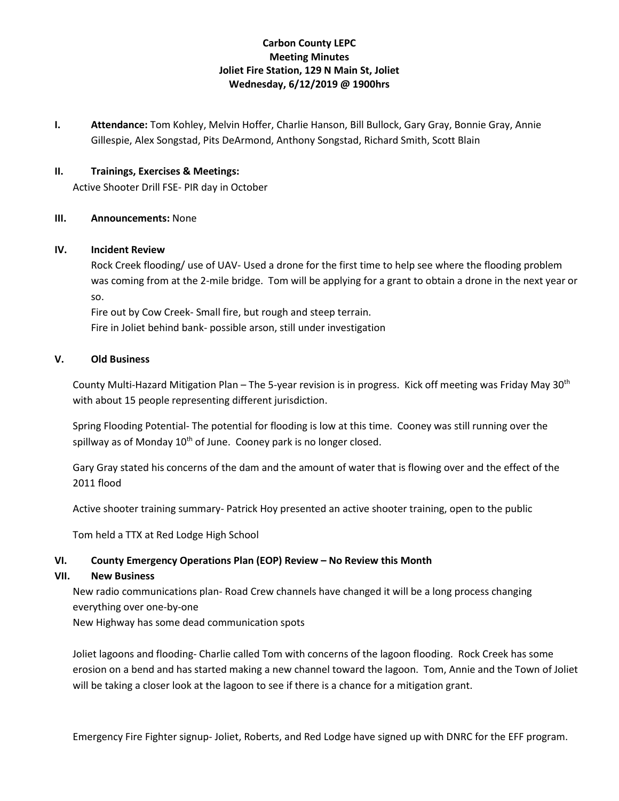### **Carbon County LEPC Meeting Minutes Joliet Fire Station, 129 N Main St, Joliet Wednesday, 6/12/2019 @ 1900hrs**

**I. Attendance:** Tom Kohley, Melvin Hoffer, Charlie Hanson, Bill Bullock, Gary Gray, Bonnie Gray, Annie Gillespie, Alex Songstad, Pits DeArmond, Anthony Songstad, Richard Smith, Scott Blain

### **II. Trainings, Exercises & Meetings:**

Active Shooter Drill FSE- PIR day in October

#### **III. Announcements:** None

#### **IV. Incident Review**

Rock Creek flooding/ use of UAV- Used a drone for the first time to help see where the flooding problem was coming from at the 2-mile bridge. Tom will be applying for a grant to obtain a drone in the next year or so.

Fire out by Cow Creek- Small fire, but rough and steep terrain.

Fire in Joliet behind bank- possible arson, still under investigation

#### **V. Old Business**

County Multi-Hazard Mitigation Plan – The 5-year revision is in progress. Kick off meeting was Friday May 30<sup>th</sup> with about 15 people representing different jurisdiction.

Spring Flooding Potential- The potential for flooding is low at this time. Cooney was still running over the spillway as of Monday  $10<sup>th</sup>$  of June. Cooney park is no longer closed.

Gary Gray stated his concerns of the dam and the amount of water that is flowing over and the effect of the 2011 flood

Active shooter training summary- Patrick Hoy presented an active shooter training, open to the public

Tom held a TTX at Red Lodge High School

#### **VI. County Emergency Operations Plan (EOP) Review – No Review this Month**

#### **VII. New Business**

New radio communications plan- Road Crew channels have changed it will be a long process changing everything over one-by-one

New Highway has some dead communication spots

Joliet lagoons and flooding- Charlie called Tom with concerns of the lagoon flooding. Rock Creek has some erosion on a bend and has started making a new channel toward the lagoon. Tom, Annie and the Town of Joliet will be taking a closer look at the lagoon to see if there is a chance for a mitigation grant.

Emergency Fire Fighter signup- Joliet, Roberts, and Red Lodge have signed up with DNRC for the EFF program.